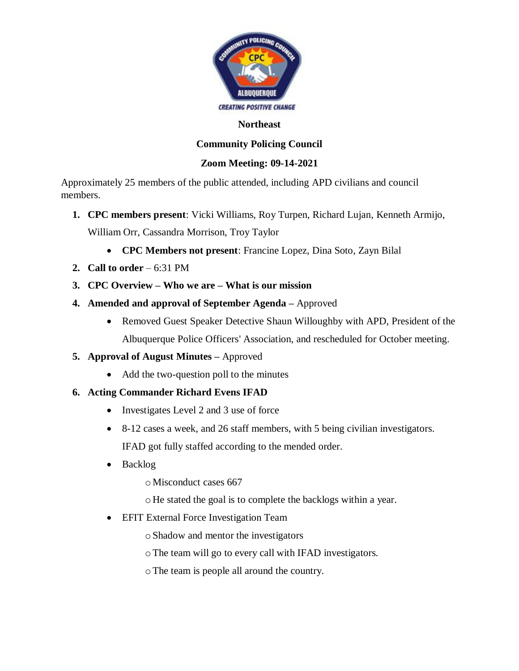

#### **Northeast**

# **Community Policing Council**

## **Zoom Meeting: 09-14-2021**

Approximately 25 members of the public attended, including APD civilians and council members.

- **1. CPC members present**: Vicki Williams, Roy Turpen, Richard Lujan, Kenneth Armijo, William Orr, Cassandra Morrison, Troy Taylor
	- **CPC Members not present**: Francine Lopez, Dina Soto, Zayn Bilal
- **2. Call to order**  6:31 PM
- **3. CPC Overview – Who we are – What is our mission**
- **4. Amended and approval of September Agenda –** Approved
	- Removed Guest Speaker Detective Shaun Willoughby with APD, President of the Albuquerque Police Officers' Association, and rescheduled for October meeting.
- **5. Approval of August Minutes –** Approved
	- Add the two-question poll to the minutes

# **6. Acting Commander Richard Evens IFAD**

- Investigates Level 2 and 3 use of force
- 8-12 cases a week, and 26 staff members, with 5 being civilian investigators.

IFAD got fully staffed according to the mended order.

- Backlog
	- oMisconduct cases 667
	- oHe stated the goal is to complete the backlogs within a year.
- **EFIT External Force Investigation Team** 
	- oShadow and mentor the investigators
	- oThe team will go to every call with IFAD investigators.
	- oThe team is people all around the country.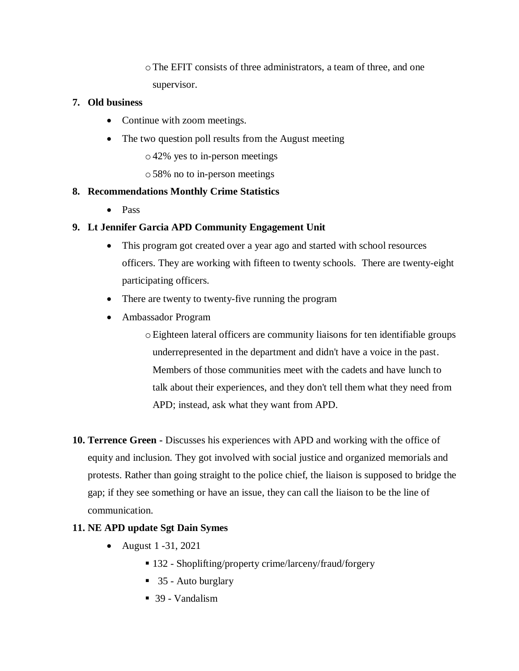oThe EFIT consists of three administrators, a team of three, and one supervisor.

### **7. Old business**

- Continue with zoom meetings.
- The two question poll results from the August meeting
	- o42% yes to in-person meetings
	- o58% no to in-person meetings

# **8. Recommendations Monthly Crime Statistics**

• Pass

# **9. Lt Jennifer Garcia APD Community Engagement Unit**

- This program got created over a year ago and started with school resources officers. They are working with fifteen to twenty schools. There are twenty-eight participating officers.
- There are twenty to twenty-five running the program
- Ambassador Program
	- oEighteen lateral officers are community liaisons for ten identifiable groups underrepresented in the department and didn't have a voice in the past. Members of those communities meet with the cadets and have lunch to talk about their experiences, and they don't tell them what they need from APD; instead, ask what they want from APD.
- **10. Terrence Green -** Discusses his experiences with APD and working with the office of equity and inclusion. They got involved with social justice and organized memorials and protests. Rather than going straight to the police chief, the liaison is supposed to bridge the gap; if they see something or have an issue, they can call the liaison to be the line of communication.

### **11. NE APD update Sgt Dain Symes**

- August 1 -31, 2021
	- 132 Shoplifting/property crime/larceny/fraud/forgery
	- 35 Auto burglary
	- 39 Vandalism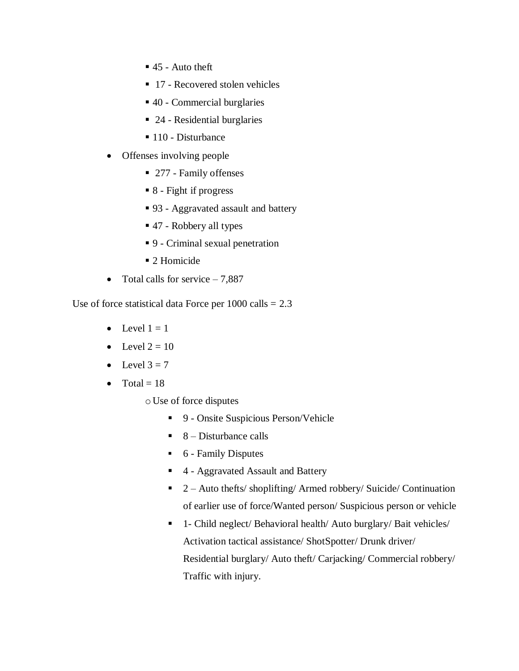- $\blacksquare$  45 Auto theft
- 17 Recovered stolen vehicles
- 40 Commercial burglaries
- 24 Residential burglaries
- 110 Disturbance
- Offenses involving people
	- 277 Family offenses
	- 8 Fight if progress
	- 93 Aggravated assault and battery
	- 47 Robbery all types
	- 9 Criminal sexual penetration
	- 2 Homicide
- Total calls for service  $-7,887$

Use of force statistical data Force per  $1000$  calls = 2.3

- Level  $1 = 1$
- Level  $2 = 10$
- Level  $3 = 7$
- Total  $= 18$ 
	- oUse of force disputes
		- 9 Onsite Suspicious Person/Vehicle
		- $\blacksquare$  8 Disturbance calls
		- 6 Family Disputes
		- 4 Aggravated Assault and Battery
		- 2 Auto thefts/ shoplifting/ Armed robbery/ Suicide/ Continuation of earlier use of force/Wanted person/ Suspicious person or vehicle
		- 1- Child neglect/ Behavioral health/ Auto burglary/ Bait vehicles/ Activation tactical assistance/ ShotSpotter/ Drunk driver/ Residential burglary/ Auto theft/ Carjacking/ Commercial robbery/ Traffic with injury.